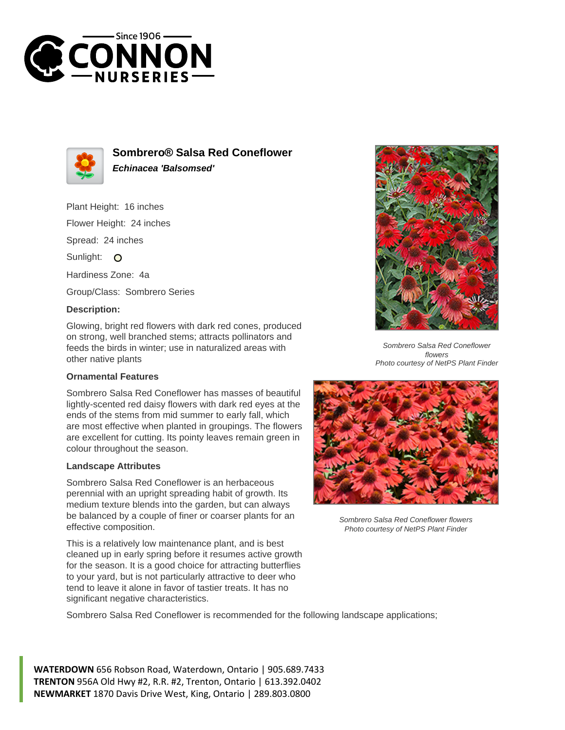



**Sombrero® Salsa Red Coneflower Echinacea 'Balsomsed'**

Plant Height: 16 inches Flower Height: 24 inches

Spread: 24 inches

Sunlight: O

Hardiness Zone: 4a

Group/Class: Sombrero Series

## **Description:**

Glowing, bright red flowers with dark red cones, produced on strong, well branched stems; attracts pollinators and feeds the birds in winter; use in naturalized areas with other native plants

## **Ornamental Features**

Sombrero Salsa Red Coneflower has masses of beautiful lightly-scented red daisy flowers with dark red eyes at the ends of the stems from mid summer to early fall, which are most effective when planted in groupings. The flowers are excellent for cutting. Its pointy leaves remain green in colour throughout the season.

## **Landscape Attributes**

Sombrero Salsa Red Coneflower is an herbaceous perennial with an upright spreading habit of growth. Its medium texture blends into the garden, but can always be balanced by a couple of finer or coarser plants for an effective composition.

This is a relatively low maintenance plant, and is best cleaned up in early spring before it resumes active growth for the season. It is a good choice for attracting butterflies to your yard, but is not particularly attractive to deer who tend to leave it alone in favor of tastier treats. It has no significant negative characteristics.



Sombrero Salsa Red Coneflower flowers Photo courtesy of NetPS Plant Finder



Sombrero Salsa Red Coneflower flowers Photo courtesy of NetPS Plant Finder

Sombrero Salsa Red Coneflower is recommended for the following landscape applications;

**WATERDOWN** 656 Robson Road, Waterdown, Ontario | 905.689.7433 **TRENTON** 956A Old Hwy #2, R.R. #2, Trenton, Ontario | 613.392.0402 **NEWMARKET** 1870 Davis Drive West, King, Ontario | 289.803.0800